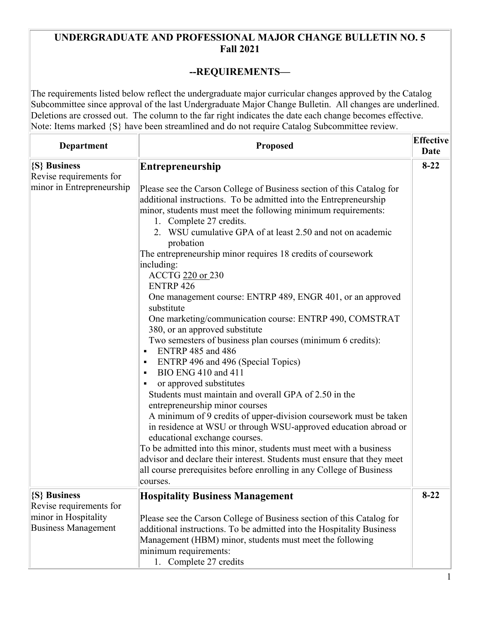## **UNDERGRADUATE AND PROFESSIONAL MAJOR CHANGE BULLETIN NO. 5 Fall 2021**

## **--REQUIREMENTS—**

The requirements listed below reflect the undergraduate major curricular changes approved by the Catalog Subcommittee since approval of the last Undergraduate Major Change Bulletin. All changes are underlined. Deletions are crossed out. The column to the far right indicates the date each change becomes effective. Note: Items marked  $\{S\}$  have been streamlined and do not require Catalog Subcommittee review.

| Department                                                                                    | <b>Proposed</b>                                                                                                                                                                                                                                                                                                                                                                                                                                                                                                                                                                                                                                                                                                                                                                                                                                                                                                                                                                                                                                                                                                                                                                                                                                                                                                                                         | <b>Effective</b><br>Date |
|-----------------------------------------------------------------------------------------------|---------------------------------------------------------------------------------------------------------------------------------------------------------------------------------------------------------------------------------------------------------------------------------------------------------------------------------------------------------------------------------------------------------------------------------------------------------------------------------------------------------------------------------------------------------------------------------------------------------------------------------------------------------------------------------------------------------------------------------------------------------------------------------------------------------------------------------------------------------------------------------------------------------------------------------------------------------------------------------------------------------------------------------------------------------------------------------------------------------------------------------------------------------------------------------------------------------------------------------------------------------------------------------------------------------------------------------------------------------|--------------------------|
| {S} Business<br>Revise requirements for<br>minor in Entrepreneurship                          | Entrepreneurship<br>Please see the Carson College of Business section of this Catalog for<br>additional instructions. To be admitted into the Entrepreneurship<br>minor, students must meet the following minimum requirements:<br>1. Complete 27 credits.<br>2. WSU cumulative GPA of at least 2.50 and not on academic<br>probation<br>The entrepreneurship minor requires 18 credits of coursework<br>including:<br>ACCTG 220 or 230<br><b>ENTRP 426</b><br>One management course: ENTRP 489, ENGR 401, or an approved<br>substitute<br>One marketing/communication course: ENTRP 490, COMSTRAT<br>380, or an approved substitute<br>Two semesters of business plan courses (minimum 6 credits):<br><b>ENTRP 485 and 486</b><br>п<br>ENTRP 496 and 496 (Special Topics)<br>BIO ENG 410 and 411<br>$\blacksquare$<br>or approved substitutes<br>Students must maintain and overall GPA of 2.50 in the<br>entrepreneurship minor courses<br>A minimum of 9 credits of upper-division coursework must be taken<br>in residence at WSU or through WSU-approved education abroad or<br>educational exchange courses.<br>To be admitted into this minor, students must meet with a business<br>advisor and declare their interest. Students must ensure that they meet<br>all course prerequisites before enrolling in any College of Business<br>courses. | $8-22$                   |
| {S} Business<br>Revise requirements for<br>minor in Hospitality<br><b>Business Management</b> | <b>Hospitality Business Management</b><br>Please see the Carson College of Business section of this Catalog for<br>additional instructions. To be admitted into the Hospitality Business<br>Management (HBM) minor, students must meet the following<br>minimum requirements:<br>1. Complete 27 credits                                                                                                                                                                                                                                                                                                                                                                                                                                                                                                                                                                                                                                                                                                                                                                                                                                                                                                                                                                                                                                                 | $8 - 22$                 |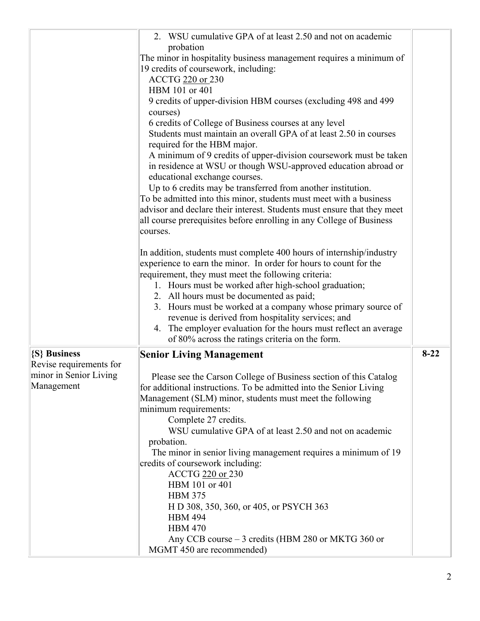| 2. WSU cumulative GPA of at least 2.50 and not on academic<br>probation<br>The minor in hospitality business management requires a minimum of<br>19 credits of coursework, including:<br>ACCTG 220 or 230<br>HBM 101 or 401<br>9 credits of upper-division HBM courses (excluding 498 and 499<br>courses)<br>6 credits of College of Business courses at any level<br>Students must maintain an overall GPA of at least 2.50 in courses<br>required for the HBM major.<br>A minimum of 9 credits of upper-division coursework must be taken<br>in residence at WSU or though WSU-approved education abroad or<br>educational exchange courses.<br>Up to 6 credits may be transferred from another institution.<br>To be admitted into this minor, students must meet with a business<br>advisor and declare their interest. Students must ensure that they meet<br>all course prerequisites before enrolling in any College of Business<br>courses.<br>In addition, students must complete 400 hours of internship/industry<br>experience to earn the minor. In order for hours to count for the<br>requirement, they must meet the following criteria:<br>1. Hours must be worked after high-school graduation;<br>2. All hours must be documented as paid;<br>3. Hours must be worked at a company whose primary source of<br>revenue is derived from hospitality services; and<br>4. The employer evaluation for the hours must reflect an average<br>of 80% across the ratings criteria on the form.<br>$8 - 22$<br>{S} Business<br><b>Senior Living Management</b><br>Revise requirements for<br>minor in Senior Living<br>Please see the Carson College of Business section of this Catalog<br>Management<br>for additional instructions. To be admitted into the Senior Living<br>Management (SLM) minor, students must meet the following<br>minimum requirements:<br>Complete 27 credits.<br>WSU cumulative GPA of at least 2.50 and not on academic<br>probation.<br>The minor in senior living management requires a minimum of 19<br>credits of coursework including:<br>ACCTG 220 or 230<br>HBM 101 or 401<br><b>HBM 375</b><br>H D 308, 350, 360, or 405, or PSYCH 363 |                |  |
|--------------------------------------------------------------------------------------------------------------------------------------------------------------------------------------------------------------------------------------------------------------------------------------------------------------------------------------------------------------------------------------------------------------------------------------------------------------------------------------------------------------------------------------------------------------------------------------------------------------------------------------------------------------------------------------------------------------------------------------------------------------------------------------------------------------------------------------------------------------------------------------------------------------------------------------------------------------------------------------------------------------------------------------------------------------------------------------------------------------------------------------------------------------------------------------------------------------------------------------------------------------------------------------------------------------------------------------------------------------------------------------------------------------------------------------------------------------------------------------------------------------------------------------------------------------------------------------------------------------------------------------------------------------------------------------------------------------------------------------------------------------------------------------------------------------------------------------------------------------------------------------------------------------------------------------------------------------------------------------------------------------------------------------------------------------------------------------------------------------------------------------------------------------------------------------|----------------|--|
|                                                                                                                                                                                                                                                                                                                                                                                                                                                                                                                                                                                                                                                                                                                                                                                                                                                                                                                                                                                                                                                                                                                                                                                                                                                                                                                                                                                                                                                                                                                                                                                                                                                                                                                                                                                                                                                                                                                                                                                                                                                                                                                                                                                      |                |  |
|                                                                                                                                                                                                                                                                                                                                                                                                                                                                                                                                                                                                                                                                                                                                                                                                                                                                                                                                                                                                                                                                                                                                                                                                                                                                                                                                                                                                                                                                                                                                                                                                                                                                                                                                                                                                                                                                                                                                                                                                                                                                                                                                                                                      |                |  |
|                                                                                                                                                                                                                                                                                                                                                                                                                                                                                                                                                                                                                                                                                                                                                                                                                                                                                                                                                                                                                                                                                                                                                                                                                                                                                                                                                                                                                                                                                                                                                                                                                                                                                                                                                                                                                                                                                                                                                                                                                                                                                                                                                                                      |                |  |
|                                                                                                                                                                                                                                                                                                                                                                                                                                                                                                                                                                                                                                                                                                                                                                                                                                                                                                                                                                                                                                                                                                                                                                                                                                                                                                                                                                                                                                                                                                                                                                                                                                                                                                                                                                                                                                                                                                                                                                                                                                                                                                                                                                                      |                |  |
|                                                                                                                                                                                                                                                                                                                                                                                                                                                                                                                                                                                                                                                                                                                                                                                                                                                                                                                                                                                                                                                                                                                                                                                                                                                                                                                                                                                                                                                                                                                                                                                                                                                                                                                                                                                                                                                                                                                                                                                                                                                                                                                                                                                      |                |  |
|                                                                                                                                                                                                                                                                                                                                                                                                                                                                                                                                                                                                                                                                                                                                                                                                                                                                                                                                                                                                                                                                                                                                                                                                                                                                                                                                                                                                                                                                                                                                                                                                                                                                                                                                                                                                                                                                                                                                                                                                                                                                                                                                                                                      |                |  |
|                                                                                                                                                                                                                                                                                                                                                                                                                                                                                                                                                                                                                                                                                                                                                                                                                                                                                                                                                                                                                                                                                                                                                                                                                                                                                                                                                                                                                                                                                                                                                                                                                                                                                                                                                                                                                                                                                                                                                                                                                                                                                                                                                                                      |                |  |
|                                                                                                                                                                                                                                                                                                                                                                                                                                                                                                                                                                                                                                                                                                                                                                                                                                                                                                                                                                                                                                                                                                                                                                                                                                                                                                                                                                                                                                                                                                                                                                                                                                                                                                                                                                                                                                                                                                                                                                                                                                                                                                                                                                                      |                |  |
|                                                                                                                                                                                                                                                                                                                                                                                                                                                                                                                                                                                                                                                                                                                                                                                                                                                                                                                                                                                                                                                                                                                                                                                                                                                                                                                                                                                                                                                                                                                                                                                                                                                                                                                                                                                                                                                                                                                                                                                                                                                                                                                                                                                      |                |  |
|                                                                                                                                                                                                                                                                                                                                                                                                                                                                                                                                                                                                                                                                                                                                                                                                                                                                                                                                                                                                                                                                                                                                                                                                                                                                                                                                                                                                                                                                                                                                                                                                                                                                                                                                                                                                                                                                                                                                                                                                                                                                                                                                                                                      |                |  |
|                                                                                                                                                                                                                                                                                                                                                                                                                                                                                                                                                                                                                                                                                                                                                                                                                                                                                                                                                                                                                                                                                                                                                                                                                                                                                                                                                                                                                                                                                                                                                                                                                                                                                                                                                                                                                                                                                                                                                                                                                                                                                                                                                                                      |                |  |
|                                                                                                                                                                                                                                                                                                                                                                                                                                                                                                                                                                                                                                                                                                                                                                                                                                                                                                                                                                                                                                                                                                                                                                                                                                                                                                                                                                                                                                                                                                                                                                                                                                                                                                                                                                                                                                                                                                                                                                                                                                                                                                                                                                                      |                |  |
|                                                                                                                                                                                                                                                                                                                                                                                                                                                                                                                                                                                                                                                                                                                                                                                                                                                                                                                                                                                                                                                                                                                                                                                                                                                                                                                                                                                                                                                                                                                                                                                                                                                                                                                                                                                                                                                                                                                                                                                                                                                                                                                                                                                      |                |  |
|                                                                                                                                                                                                                                                                                                                                                                                                                                                                                                                                                                                                                                                                                                                                                                                                                                                                                                                                                                                                                                                                                                                                                                                                                                                                                                                                                                                                                                                                                                                                                                                                                                                                                                                                                                                                                                                                                                                                                                                                                                                                                                                                                                                      |                |  |
|                                                                                                                                                                                                                                                                                                                                                                                                                                                                                                                                                                                                                                                                                                                                                                                                                                                                                                                                                                                                                                                                                                                                                                                                                                                                                                                                                                                                                                                                                                                                                                                                                                                                                                                                                                                                                                                                                                                                                                                                                                                                                                                                                                                      |                |  |
|                                                                                                                                                                                                                                                                                                                                                                                                                                                                                                                                                                                                                                                                                                                                                                                                                                                                                                                                                                                                                                                                                                                                                                                                                                                                                                                                                                                                                                                                                                                                                                                                                                                                                                                                                                                                                                                                                                                                                                                                                                                                                                                                                                                      |                |  |
|                                                                                                                                                                                                                                                                                                                                                                                                                                                                                                                                                                                                                                                                                                                                                                                                                                                                                                                                                                                                                                                                                                                                                                                                                                                                                                                                                                                                                                                                                                                                                                                                                                                                                                                                                                                                                                                                                                                                                                                                                                                                                                                                                                                      |                |  |
|                                                                                                                                                                                                                                                                                                                                                                                                                                                                                                                                                                                                                                                                                                                                                                                                                                                                                                                                                                                                                                                                                                                                                                                                                                                                                                                                                                                                                                                                                                                                                                                                                                                                                                                                                                                                                                                                                                                                                                                                                                                                                                                                                                                      |                |  |
|                                                                                                                                                                                                                                                                                                                                                                                                                                                                                                                                                                                                                                                                                                                                                                                                                                                                                                                                                                                                                                                                                                                                                                                                                                                                                                                                                                                                                                                                                                                                                                                                                                                                                                                                                                                                                                                                                                                                                                                                                                                                                                                                                                                      |                |  |
|                                                                                                                                                                                                                                                                                                                                                                                                                                                                                                                                                                                                                                                                                                                                                                                                                                                                                                                                                                                                                                                                                                                                                                                                                                                                                                                                                                                                                                                                                                                                                                                                                                                                                                                                                                                                                                                                                                                                                                                                                                                                                                                                                                                      |                |  |
|                                                                                                                                                                                                                                                                                                                                                                                                                                                                                                                                                                                                                                                                                                                                                                                                                                                                                                                                                                                                                                                                                                                                                                                                                                                                                                                                                                                                                                                                                                                                                                                                                                                                                                                                                                                                                                                                                                                                                                                                                                                                                                                                                                                      |                |  |
|                                                                                                                                                                                                                                                                                                                                                                                                                                                                                                                                                                                                                                                                                                                                                                                                                                                                                                                                                                                                                                                                                                                                                                                                                                                                                                                                                                                                                                                                                                                                                                                                                                                                                                                                                                                                                                                                                                                                                                                                                                                                                                                                                                                      |                |  |
|                                                                                                                                                                                                                                                                                                                                                                                                                                                                                                                                                                                                                                                                                                                                                                                                                                                                                                                                                                                                                                                                                                                                                                                                                                                                                                                                                                                                                                                                                                                                                                                                                                                                                                                                                                                                                                                                                                                                                                                                                                                                                                                                                                                      |                |  |
|                                                                                                                                                                                                                                                                                                                                                                                                                                                                                                                                                                                                                                                                                                                                                                                                                                                                                                                                                                                                                                                                                                                                                                                                                                                                                                                                                                                                                                                                                                                                                                                                                                                                                                                                                                                                                                                                                                                                                                                                                                                                                                                                                                                      |                |  |
|                                                                                                                                                                                                                                                                                                                                                                                                                                                                                                                                                                                                                                                                                                                                                                                                                                                                                                                                                                                                                                                                                                                                                                                                                                                                                                                                                                                                                                                                                                                                                                                                                                                                                                                                                                                                                                                                                                                                                                                                                                                                                                                                                                                      |                |  |
|                                                                                                                                                                                                                                                                                                                                                                                                                                                                                                                                                                                                                                                                                                                                                                                                                                                                                                                                                                                                                                                                                                                                                                                                                                                                                                                                                                                                                                                                                                                                                                                                                                                                                                                                                                                                                                                                                                                                                                                                                                                                                                                                                                                      |                |  |
|                                                                                                                                                                                                                                                                                                                                                                                                                                                                                                                                                                                                                                                                                                                                                                                                                                                                                                                                                                                                                                                                                                                                                                                                                                                                                                                                                                                                                                                                                                                                                                                                                                                                                                                                                                                                                                                                                                                                                                                                                                                                                                                                                                                      |                |  |
|                                                                                                                                                                                                                                                                                                                                                                                                                                                                                                                                                                                                                                                                                                                                                                                                                                                                                                                                                                                                                                                                                                                                                                                                                                                                                                                                                                                                                                                                                                                                                                                                                                                                                                                                                                                                                                                                                                                                                                                                                                                                                                                                                                                      |                |  |
|                                                                                                                                                                                                                                                                                                                                                                                                                                                                                                                                                                                                                                                                                                                                                                                                                                                                                                                                                                                                                                                                                                                                                                                                                                                                                                                                                                                                                                                                                                                                                                                                                                                                                                                                                                                                                                                                                                                                                                                                                                                                                                                                                                                      |                |  |
|                                                                                                                                                                                                                                                                                                                                                                                                                                                                                                                                                                                                                                                                                                                                                                                                                                                                                                                                                                                                                                                                                                                                                                                                                                                                                                                                                                                                                                                                                                                                                                                                                                                                                                                                                                                                                                                                                                                                                                                                                                                                                                                                                                                      |                |  |
|                                                                                                                                                                                                                                                                                                                                                                                                                                                                                                                                                                                                                                                                                                                                                                                                                                                                                                                                                                                                                                                                                                                                                                                                                                                                                                                                                                                                                                                                                                                                                                                                                                                                                                                                                                                                                                                                                                                                                                                                                                                                                                                                                                                      |                |  |
|                                                                                                                                                                                                                                                                                                                                                                                                                                                                                                                                                                                                                                                                                                                                                                                                                                                                                                                                                                                                                                                                                                                                                                                                                                                                                                                                                                                                                                                                                                                                                                                                                                                                                                                                                                                                                                                                                                                                                                                                                                                                                                                                                                                      |                |  |
|                                                                                                                                                                                                                                                                                                                                                                                                                                                                                                                                                                                                                                                                                                                                                                                                                                                                                                                                                                                                                                                                                                                                                                                                                                                                                                                                                                                                                                                                                                                                                                                                                                                                                                                                                                                                                                                                                                                                                                                                                                                                                                                                                                                      |                |  |
|                                                                                                                                                                                                                                                                                                                                                                                                                                                                                                                                                                                                                                                                                                                                                                                                                                                                                                                                                                                                                                                                                                                                                                                                                                                                                                                                                                                                                                                                                                                                                                                                                                                                                                                                                                                                                                                                                                                                                                                                                                                                                                                                                                                      |                |  |
|                                                                                                                                                                                                                                                                                                                                                                                                                                                                                                                                                                                                                                                                                                                                                                                                                                                                                                                                                                                                                                                                                                                                                                                                                                                                                                                                                                                                                                                                                                                                                                                                                                                                                                                                                                                                                                                                                                                                                                                                                                                                                                                                                                                      |                |  |
|                                                                                                                                                                                                                                                                                                                                                                                                                                                                                                                                                                                                                                                                                                                                                                                                                                                                                                                                                                                                                                                                                                                                                                                                                                                                                                                                                                                                                                                                                                                                                                                                                                                                                                                                                                                                                                                                                                                                                                                                                                                                                                                                                                                      |                |  |
|                                                                                                                                                                                                                                                                                                                                                                                                                                                                                                                                                                                                                                                                                                                                                                                                                                                                                                                                                                                                                                                                                                                                                                                                                                                                                                                                                                                                                                                                                                                                                                                                                                                                                                                                                                                                                                                                                                                                                                                                                                                                                                                                                                                      |                |  |
|                                                                                                                                                                                                                                                                                                                                                                                                                                                                                                                                                                                                                                                                                                                                                                                                                                                                                                                                                                                                                                                                                                                                                                                                                                                                                                                                                                                                                                                                                                                                                                                                                                                                                                                                                                                                                                                                                                                                                                                                                                                                                                                                                                                      |                |  |
|                                                                                                                                                                                                                                                                                                                                                                                                                                                                                                                                                                                                                                                                                                                                                                                                                                                                                                                                                                                                                                                                                                                                                                                                                                                                                                                                                                                                                                                                                                                                                                                                                                                                                                                                                                                                                                                                                                                                                                                                                                                                                                                                                                                      |                |  |
|                                                                                                                                                                                                                                                                                                                                                                                                                                                                                                                                                                                                                                                                                                                                                                                                                                                                                                                                                                                                                                                                                                                                                                                                                                                                                                                                                                                                                                                                                                                                                                                                                                                                                                                                                                                                                                                                                                                                                                                                                                                                                                                                                                                      |                |  |
|                                                                                                                                                                                                                                                                                                                                                                                                                                                                                                                                                                                                                                                                                                                                                                                                                                                                                                                                                                                                                                                                                                                                                                                                                                                                                                                                                                                                                                                                                                                                                                                                                                                                                                                                                                                                                                                                                                                                                                                                                                                                                                                                                                                      | <b>HBM 494</b> |  |
| <b>HBM 470</b>                                                                                                                                                                                                                                                                                                                                                                                                                                                                                                                                                                                                                                                                                                                                                                                                                                                                                                                                                                                                                                                                                                                                                                                                                                                                                                                                                                                                                                                                                                                                                                                                                                                                                                                                                                                                                                                                                                                                                                                                                                                                                                                                                                       |                |  |
| Any CCB course - 3 credits (HBM 280 or MKTG 360 or                                                                                                                                                                                                                                                                                                                                                                                                                                                                                                                                                                                                                                                                                                                                                                                                                                                                                                                                                                                                                                                                                                                                                                                                                                                                                                                                                                                                                                                                                                                                                                                                                                                                                                                                                                                                                                                                                                                                                                                                                                                                                                                                   |                |  |
| MGMT 450 are recommended)                                                                                                                                                                                                                                                                                                                                                                                                                                                                                                                                                                                                                                                                                                                                                                                                                                                                                                                                                                                                                                                                                                                                                                                                                                                                                                                                                                                                                                                                                                                                                                                                                                                                                                                                                                                                                                                                                                                                                                                                                                                                                                                                                            |                |  |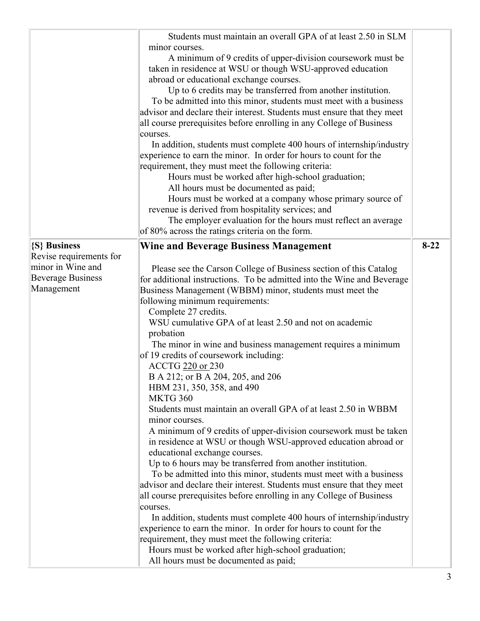|                          | Students must maintain an overall GPA of at least 2.50 in SLM                                                             |          |
|--------------------------|---------------------------------------------------------------------------------------------------------------------------|----------|
|                          | minor courses.                                                                                                            |          |
|                          | A minimum of 9 credits of upper-division coursework must be<br>taken in residence at WSU or though WSU-approved education |          |
|                          | abroad or educational exchange courses.                                                                                   |          |
|                          | Up to 6 credits may be transferred from another institution.                                                              |          |
|                          | To be admitted into this minor, students must meet with a business                                                        |          |
|                          | advisor and declare their interest. Students must ensure that they meet                                                   |          |
|                          | all course prerequisites before enrolling in any College of Business                                                      |          |
|                          | courses.                                                                                                                  |          |
|                          | In addition, students must complete 400 hours of internship/industry                                                      |          |
|                          | experience to earn the minor. In order for hours to count for the                                                         |          |
|                          | requirement, they must meet the following criteria:                                                                       |          |
|                          | Hours must be worked after high-school graduation;                                                                        |          |
|                          | All hours must be documented as paid;                                                                                     |          |
|                          | Hours must be worked at a company whose primary source of                                                                 |          |
|                          | revenue is derived from hospitality services; and                                                                         |          |
|                          | The employer evaluation for the hours must reflect an average                                                             |          |
|                          | of 80% across the ratings criteria on the form.                                                                           |          |
| {S} Business             | <b>Wine and Beverage Business Management</b>                                                                              | $8 - 22$ |
| Revise requirements for  |                                                                                                                           |          |
| minor in Wine and        | Please see the Carson College of Business section of this Catalog                                                         |          |
| <b>Beverage Business</b> | for additional instructions. To be admitted into the Wine and Beverage                                                    |          |
| Management               | Business Management (WBBM) minor, students must meet the                                                                  |          |
|                          | following minimum requirements:                                                                                           |          |
|                          | Complete 27 credits.                                                                                                      |          |
|                          | WSU cumulative GPA of at least 2.50 and not on academic                                                                   |          |
|                          | probation<br>The minor in wine and business management requires a minimum                                                 |          |
|                          | of 19 credits of coursework including:                                                                                    |          |
|                          | ACCTG 220 or 230                                                                                                          |          |
|                          | B A 212; or B A 204, 205, and 206                                                                                         |          |
|                          | HBM 231, 350, 358, and 490                                                                                                |          |
|                          | <b>MKTG 360</b>                                                                                                           |          |
|                          | Students must maintain an overall GPA of at least 2.50 in WBBM<br>minor courses.                                          |          |
|                          | A minimum of 9 credits of upper-division coursework must be taken                                                         |          |
|                          | in residence at WSU or though WSU-approved education abroad or                                                            |          |
|                          | educational exchange courses.                                                                                             |          |
|                          | Up to 6 hours may be transferred from another institution.                                                                |          |
|                          | To be admitted into this minor, students must meet with a business                                                        |          |
|                          | advisor and declare their interest. Students must ensure that they meet                                                   |          |
|                          | all course prerequisites before enrolling in any College of Business                                                      |          |
|                          | courses.                                                                                                                  |          |
|                          | In addition, students must complete 400 hours of internship/industry                                                      |          |
|                          | experience to earn the minor. In order for hours to count for the                                                         |          |
|                          | requirement, they must meet the following criteria:                                                                       |          |
|                          | Hours must be worked after high-school graduation;                                                                        |          |
|                          | All hours must be documented as paid;                                                                                     |          |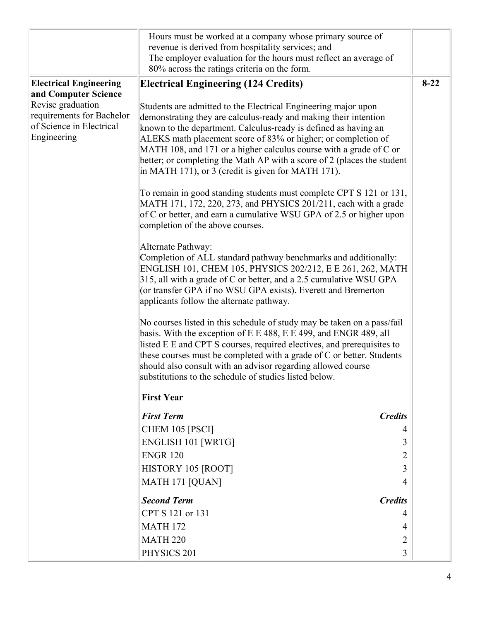|                                                       | Hours must be worked at a company whose primary source of                                                                                  |        |
|-------------------------------------------------------|--------------------------------------------------------------------------------------------------------------------------------------------|--------|
|                                                       | revenue is derived from hospitality services; and                                                                                          |        |
|                                                       | The employer evaluation for the hours must reflect an average of                                                                           |        |
|                                                       | 80% across the ratings criteria on the form.                                                                                               |        |
| <b>Electrical Engineering</b>                         | <b>Electrical Engineering (124 Credits)</b>                                                                                                | $8-22$ |
| and Computer Science                                  |                                                                                                                                            |        |
| Revise graduation                                     | Students are admitted to the Electrical Engineering major upon                                                                             |        |
| requirements for Bachelor<br>of Science in Electrical | demonstrating they are calculus-ready and making their intention                                                                           |        |
| Engineering                                           | known to the department. Calculus-ready is defined as having an<br>ALEKS math placement score of 83% or higher; or completion of           |        |
|                                                       | MATH 108, and 171 or a higher calculus course with a grade of C or                                                                         |        |
|                                                       | better; or completing the Math AP with a score of 2 (places the student                                                                    |        |
|                                                       | in MATH 171), or 3 (credit is given for MATH 171).                                                                                         |        |
|                                                       | To remain in good standing students must complete CPT S 121 or 131,                                                                        |        |
|                                                       | MATH 171, 172, 220, 273, and PHYSICS 201/211, each with a grade                                                                            |        |
|                                                       | of C or better, and earn a cumulative WSU GPA of 2.5 or higher upon<br>completion of the above courses.                                    |        |
|                                                       |                                                                                                                                            |        |
|                                                       | Alternate Pathway:                                                                                                                         |        |
|                                                       | Completion of ALL standard pathway benchmarks and additionally:<br>ENGLISH 101, CHEM 105, PHYSICS 202/212, E E 261, 262, MATH              |        |
|                                                       | 315, all with a grade of C or better, and a 2.5 cumulative WSU GPA                                                                         |        |
|                                                       | (or transfer GPA if no WSU GPA exists). Everett and Bremerton                                                                              |        |
|                                                       | applicants follow the alternate pathway.                                                                                                   |        |
|                                                       | No courses listed in this schedule of study may be taken on a pass/fail                                                                    |        |
|                                                       | basis. With the exception of E E 488, E E 499, and ENGR 489, all<br>listed E E and CPT S courses, required electives, and prerequisites to |        |
|                                                       | these courses must be completed with a grade of C or better. Students                                                                      |        |
|                                                       | should also consult with an advisor regarding allowed course                                                                               |        |
|                                                       | substitutions to the schedule of studies listed below.                                                                                     |        |
|                                                       | <b>First Year</b>                                                                                                                          |        |
|                                                       | <b>First Term</b><br><b>Credits</b>                                                                                                        |        |
|                                                       | CHEM 105 [PSCI]<br>4                                                                                                                       |        |
|                                                       | <b>ENGLISH 101 [WRTG]</b><br>3                                                                                                             |        |
|                                                       | $\overline{2}$<br><b>ENGR 120</b>                                                                                                          |        |
|                                                       | HISTORY 105 [ROOT]<br>3                                                                                                                    |        |
|                                                       | MATH 171 [QUAN]<br>4                                                                                                                       |        |
|                                                       | <b>Second Term</b><br><b>Credits</b>                                                                                                       |        |
|                                                       | CPT S 121 or 131<br>4                                                                                                                      |        |
|                                                       | <b>MATH 172</b><br>4                                                                                                                       |        |
|                                                       | <b>MATH 220</b><br>$\overline{2}$                                                                                                          |        |
|                                                       | PHYSICS 201<br>$\overline{3}$                                                                                                              |        |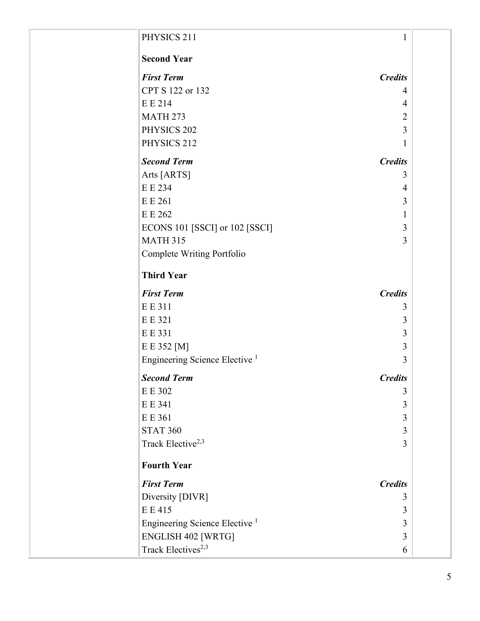| PHYSICS 211                               | 1              |  |
|-------------------------------------------|----------------|--|
| <b>Second Year</b>                        |                |  |
| <b>First Term</b>                         | <b>Credits</b> |  |
| CPT S 122 or 132                          | 4              |  |
| E E 214                                   | 4              |  |
| <b>MATH 273</b>                           | $\overline{2}$ |  |
| PHYSICS 202                               | 3              |  |
| PHYSICS 212                               | 1              |  |
| <b>Second Term</b>                        | <b>Credits</b> |  |
| Arts [ARTS]                               | 3              |  |
| E E 234                                   | $\overline{4}$ |  |
| E E 261                                   | 3              |  |
| E E 262                                   | 1              |  |
| ECONS 101 [SSCI] or 102 [SSCI]            | 3              |  |
| <b>MATH 315</b>                           | 3              |  |
| Complete Writing Portfolio                |                |  |
| <b>Third Year</b>                         |                |  |
| <b>First Term</b>                         | <b>Credits</b> |  |
| E E 311                                   | 3              |  |
| E E 321                                   | 3              |  |
| E E 331                                   | 3              |  |
| E E 352 [M]                               | 3              |  |
| Engineering Science Elective <sup>1</sup> | 3              |  |
| <b>Second Term</b>                        | <b>Credits</b> |  |
| E E 302                                   | 3              |  |
| E E 341                                   | 3              |  |
| E E 361                                   | 3              |  |
| <b>STAT 360</b>                           | 3              |  |
| Track Elective <sup>2,3</sup>             | 3              |  |
| <b>Fourth Year</b>                        |                |  |
| <b>First Term</b>                         | <b>Credits</b> |  |
| Diversity [DIVR]                          | 3              |  |
| E E 415                                   | 3              |  |
| Engineering Science Elective <sup>1</sup> | 3              |  |
| <b>ENGLISH 402 [WRTG]</b>                 | 3              |  |
| Track Electives <sup>2,3</sup>            | 6              |  |
|                                           |                |  |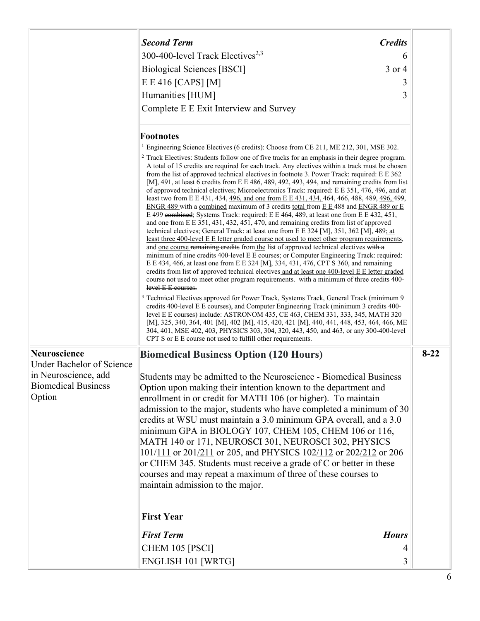|                                                              | <b>Second Term</b>                                                                                                                                                                                                                                                                                                                                                                                                                                                                                                                                                                                                                                                                                                                                                                                                                                                                                                                                                                                                                                                                                                                                                                                                                                                                                                                                                                                                                                                                                                                                                                                                                                                                                                                                                                                                                                               | <b>Credits</b> |          |
|--------------------------------------------------------------|------------------------------------------------------------------------------------------------------------------------------------------------------------------------------------------------------------------------------------------------------------------------------------------------------------------------------------------------------------------------------------------------------------------------------------------------------------------------------------------------------------------------------------------------------------------------------------------------------------------------------------------------------------------------------------------------------------------------------------------------------------------------------------------------------------------------------------------------------------------------------------------------------------------------------------------------------------------------------------------------------------------------------------------------------------------------------------------------------------------------------------------------------------------------------------------------------------------------------------------------------------------------------------------------------------------------------------------------------------------------------------------------------------------------------------------------------------------------------------------------------------------------------------------------------------------------------------------------------------------------------------------------------------------------------------------------------------------------------------------------------------------------------------------------------------------------------------------------------------------|----------------|----------|
|                                                              | 300-400-level Track Electives <sup>2,3</sup>                                                                                                                                                                                                                                                                                                                                                                                                                                                                                                                                                                                                                                                                                                                                                                                                                                                                                                                                                                                                                                                                                                                                                                                                                                                                                                                                                                                                                                                                                                                                                                                                                                                                                                                                                                                                                     | 6              |          |
|                                                              | <b>Biological Sciences [BSCI]</b>                                                                                                                                                                                                                                                                                                                                                                                                                                                                                                                                                                                                                                                                                                                                                                                                                                                                                                                                                                                                                                                                                                                                                                                                                                                                                                                                                                                                                                                                                                                                                                                                                                                                                                                                                                                                                                | 3 or 4         |          |
|                                                              | $E E 416$ [CAPS] [M]                                                                                                                                                                                                                                                                                                                                                                                                                                                                                                                                                                                                                                                                                                                                                                                                                                                                                                                                                                                                                                                                                                                                                                                                                                                                                                                                                                                                                                                                                                                                                                                                                                                                                                                                                                                                                                             | 3              |          |
|                                                              | Humanities [HUM]                                                                                                                                                                                                                                                                                                                                                                                                                                                                                                                                                                                                                                                                                                                                                                                                                                                                                                                                                                                                                                                                                                                                                                                                                                                                                                                                                                                                                                                                                                                                                                                                                                                                                                                                                                                                                                                 | 3              |          |
|                                                              | Complete E E Exit Interview and Survey                                                                                                                                                                                                                                                                                                                                                                                                                                                                                                                                                                                                                                                                                                                                                                                                                                                                                                                                                                                                                                                                                                                                                                                                                                                                                                                                                                                                                                                                                                                                                                                                                                                                                                                                                                                                                           |                |          |
|                                                              | <b>Footnotes</b>                                                                                                                                                                                                                                                                                                                                                                                                                                                                                                                                                                                                                                                                                                                                                                                                                                                                                                                                                                                                                                                                                                                                                                                                                                                                                                                                                                                                                                                                                                                                                                                                                                                                                                                                                                                                                                                 |                |          |
|                                                              | <sup>1</sup> Engineering Science Electives (6 credits): Choose from CE 211, ME 212, 301, MSE 302.                                                                                                                                                                                                                                                                                                                                                                                                                                                                                                                                                                                                                                                                                                                                                                                                                                                                                                                                                                                                                                                                                                                                                                                                                                                                                                                                                                                                                                                                                                                                                                                                                                                                                                                                                                |                |          |
|                                                              | <sup>2</sup> Track Electives: Students follow one of five tracks for an emphasis in their degree program.<br>A total of 15 credits are required for each track. Any electives within a track must be chosen<br>from the list of approved technical electives in footnote 3. Power Track: required: E E 362<br>[M], 491, at least 6 credits from E E 486, 489, 492, 493, 494, and remaining credits from list<br>of approved technical electives; Microelectronics Track: required: E E 351, 476, 496, and at<br>least two from E E 431, 434, 496, and one from E E 431, 434, 464, 466, 488, 489, 496, 499,<br>ENGR 489 with a combined maximum of 3 credits total from E E 488 and ENGR 489 or E<br>E 499 eombined; Systems Track: required: E E 464, 489, at least one from E E 432, 451,<br>and one from E E 351, 431, 432, 451, 470, and remaining credits from list of approved<br>technical electives; General Track: at least one from E E 324 [M], 351, 362 [M], 489; at<br>least three 400-level E E letter graded course not used to meet other program requirements,<br>and one course remaining credits from the list of approved technical electives with a<br>minimum of nine credits 400 level E E courses; or Computer Engineering Track: required:<br>E E 434, 466, at least one from E E 324 [M], 334, 431, 476, CPT S 360, and remaining<br>credits from list of approved technical electives and at least one 400-level E E letter graded<br>course not used to meet other program requirements. with a minimum of three credits 400-<br>level E E courses.<br><sup>3</sup> Technical Electives approved for Power Track, Systems Track, General Track (minimum 9<br>credits 400-level E E courses), and Computer Engineering Track (minimum 3 credits 400-<br>level E E courses) include: ASTRONOM 435, CE 463, CHEM 331, 333, 345, MATH 320 |                |          |
|                                                              | [M], 325, 340, 364, 401 [M], 402 [M], 415, 420, 421 [M], 440, 441, 448, 453, 464, 466, ME<br>304, 401, MSE 402, 403, PHYSICS 303, 304, 320, 443, 450, and 463, or any 300-400-level<br>CPT S or E E course not used to fulfill other requirements.                                                                                                                                                                                                                                                                                                                                                                                                                                                                                                                                                                                                                                                                                                                                                                                                                                                                                                                                                                                                                                                                                                                                                                                                                                                                                                                                                                                                                                                                                                                                                                                                               |                |          |
| Neuroscience                                                 | <b>Biomedical Business Option (120 Hours)</b>                                                                                                                                                                                                                                                                                                                                                                                                                                                                                                                                                                                                                                                                                                                                                                                                                                                                                                                                                                                                                                                                                                                                                                                                                                                                                                                                                                                                                                                                                                                                                                                                                                                                                                                                                                                                                    |                | $8 - 22$ |
| <b>Under Bachelor of Science</b>                             |                                                                                                                                                                                                                                                                                                                                                                                                                                                                                                                                                                                                                                                                                                                                                                                                                                                                                                                                                                                                                                                                                                                                                                                                                                                                                                                                                                                                                                                                                                                                                                                                                                                                                                                                                                                                                                                                  |                |          |
| in Neuroscience, add<br><b>Biomedical Business</b><br>Option | Students may be admitted to the Neuroscience - Biomedical Business<br>Option upon making their intention known to the department and<br>enrollment in or credit for MATH 106 (or higher). To maintain<br>admission to the major, students who have completed a minimum of 30<br>credits at WSU must maintain a 3.0 minimum GPA overall, and a 3.0<br>minimum GPA in BIOLOGY 107, CHEM 105, CHEM 106 or 116,<br>MATH 140 or 171, NEUROSCI 301, NEUROSCI 302, PHYSICS<br>101/111 or 201/211 or 205, and PHYSICS 102/112 or 202/212 or 206<br>or CHEM 345. Students must receive a grade of C or better in these<br>courses and may repeat a maximum of three of these courses to<br>maintain admission to the major.                                                                                                                                                                                                                                                                                                                                                                                                                                                                                                                                                                                                                                                                                                                                                                                                                                                                                                                                                                                                                                                                                                                                               |                |          |
|                                                              | <b>First Year</b>                                                                                                                                                                                                                                                                                                                                                                                                                                                                                                                                                                                                                                                                                                                                                                                                                                                                                                                                                                                                                                                                                                                                                                                                                                                                                                                                                                                                                                                                                                                                                                                                                                                                                                                                                                                                                                                |                |          |
|                                                              | <b>First Term</b>                                                                                                                                                                                                                                                                                                                                                                                                                                                                                                                                                                                                                                                                                                                                                                                                                                                                                                                                                                                                                                                                                                                                                                                                                                                                                                                                                                                                                                                                                                                                                                                                                                                                                                                                                                                                                                                | <b>Hours</b>   |          |
|                                                              | CHEM 105 [PSCI]                                                                                                                                                                                                                                                                                                                                                                                                                                                                                                                                                                                                                                                                                                                                                                                                                                                                                                                                                                                                                                                                                                                                                                                                                                                                                                                                                                                                                                                                                                                                                                                                                                                                                                                                                                                                                                                  | 4              |          |
|                                                              | <b>ENGLISH 101 [WRTG]</b>                                                                                                                                                                                                                                                                                                                                                                                                                                                                                                                                                                                                                                                                                                                                                                                                                                                                                                                                                                                                                                                                                                                                                                                                                                                                                                                                                                                                                                                                                                                                                                                                                                                                                                                                                                                                                                        | 3              |          |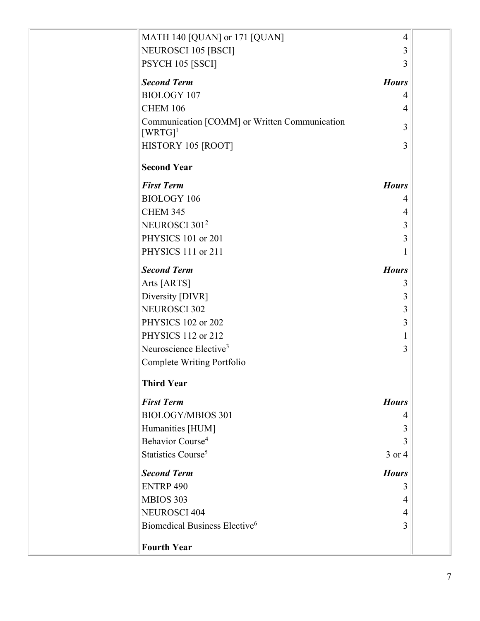| MATH 140 [QUAN] or 171 [QUAN]                                          | $\overline{4}$ |
|------------------------------------------------------------------------|----------------|
| <b>NEUROSCI 105 [BSCI]</b>                                             | 3              |
| PSYCH 105 [SSCI]                                                       | 3              |
| <b>Second Term</b>                                                     | <b>Hours</b>   |
| <b>BIOLOGY 107</b>                                                     | 4              |
| <b>CHEM 106</b>                                                        | $\overline{4}$ |
| Communication [COMM] or Written Communication<br>$[WRTG]$ <sup>1</sup> | 3              |
| HISTORY 105 [ROOT]                                                     | 3              |
| <b>Second Year</b>                                                     |                |
| <b>First Term</b>                                                      | <b>Hours</b>   |
| <b>BIOLOGY 106</b>                                                     | 4              |
| <b>CHEM 345</b>                                                        | 4              |
| NEUROSCI 301 <sup>2</sup>                                              | 3              |
| PHYSICS 101 or 201                                                     | 3              |
| PHYSICS 111 or 211                                                     | 1              |
| <b>Second Term</b>                                                     | <b>Hours</b>   |
| Arts [ARTS]                                                            | 3              |
| Diversity [DIVR]                                                       | 3              |
| <b>NEUROSCI 302</b>                                                    | 3              |
| PHYSICS 102 or 202                                                     | 3              |
| PHYSICS 112 or 212                                                     | 1              |
| Neuroscience Elective <sup>3</sup>                                     | 3              |
| Complete Writing Portfolio                                             |                |
| <b>Third Year</b>                                                      |                |
| <b>First Term</b>                                                      | <b>Hours</b>   |
| <b>BIOLOGY/MBIOS 301</b>                                               | 4              |
| Humanities [HUM]                                                       | 3              |
| Behavior Course <sup>4</sup>                                           | 3              |
| Statistics Course <sup>5</sup>                                         | 3 or 4         |
| <b>Second Term</b>                                                     | <b>Hours</b>   |
| <b>ENTRP 490</b>                                                       | 3              |
| MBIOS 303                                                              | 4              |
| <b>NEUROSCI 404</b>                                                    | $\overline{4}$ |
| Biomedical Business Elective <sup>6</sup>                              | 3              |
| <b>Fourth Year</b>                                                     |                |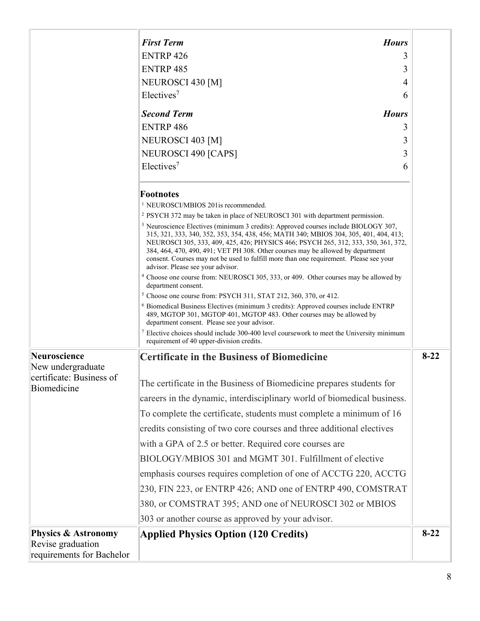|                                                     | <b>First Term</b><br><b>Hours</b>                                                                                                                                                                                                                                                                                                                                                                                                                                                                                                                                                           |          |
|-----------------------------------------------------|---------------------------------------------------------------------------------------------------------------------------------------------------------------------------------------------------------------------------------------------------------------------------------------------------------------------------------------------------------------------------------------------------------------------------------------------------------------------------------------------------------------------------------------------------------------------------------------------|----------|
|                                                     | <b>ENTRP 426</b><br>3                                                                                                                                                                                                                                                                                                                                                                                                                                                                                                                                                                       |          |
|                                                     | <b>ENTRP 485</b><br>3                                                                                                                                                                                                                                                                                                                                                                                                                                                                                                                                                                       |          |
|                                                     | NEUROSCI 430 [M]<br>4                                                                                                                                                                                                                                                                                                                                                                                                                                                                                                                                                                       |          |
|                                                     | Electives <sup>7</sup><br>6                                                                                                                                                                                                                                                                                                                                                                                                                                                                                                                                                                 |          |
|                                                     | <b>Second Term</b><br><b>Hours</b>                                                                                                                                                                                                                                                                                                                                                                                                                                                                                                                                                          |          |
|                                                     | <b>ENTRP 486</b><br>3                                                                                                                                                                                                                                                                                                                                                                                                                                                                                                                                                                       |          |
|                                                     | NEUROSCI 403 [M]<br>3                                                                                                                                                                                                                                                                                                                                                                                                                                                                                                                                                                       |          |
|                                                     | NEUROSCI 490 [CAPS]<br>3                                                                                                                                                                                                                                                                                                                                                                                                                                                                                                                                                                    |          |
|                                                     | Electives <sup>7</sup><br>6                                                                                                                                                                                                                                                                                                                                                                                                                                                                                                                                                                 |          |
|                                                     | <b>Footnotes</b><br><sup>1</sup> NEUROSCI/MBIOS 201 is recommended.                                                                                                                                                                                                                                                                                                                                                                                                                                                                                                                         |          |
|                                                     | <sup>2</sup> PSYCH 372 may be taken in place of NEUROSCI 301 with department permission.<br><sup>3</sup> Neuroscience Electives (minimum 3 credits): Approved courses include BIOLOGY 307,<br>315, 321, 333, 340, 352, 353, 354, 438, 456; MATH 340; MBIOS 304, 305, 401, 404, 413;<br>NEUROSCI 305, 333, 409, 425, 426; PHYSICS 466; PSYCH 265, 312, 333, 350, 361, 372,<br>384, 464, 470, 490, 491; VET PH 308. Other courses may be allowed by department<br>consent. Courses may not be used to fulfill more than one requirement. Please see your<br>advisor. Please see your advisor. |          |
|                                                     | <sup>4</sup> Choose one course from: NEUROSCI 305, 333, or 409. Other courses may be allowed by<br>department consent.                                                                                                                                                                                                                                                                                                                                                                                                                                                                      |          |
|                                                     | <sup>5</sup> Choose one course from: PSYCH 311, STAT 212, 360, 370, or 412.                                                                                                                                                                                                                                                                                                                                                                                                                                                                                                                 |          |
|                                                     | <sup>6</sup> Biomedical Business Electives (minimum 3 credits): Approved courses include ENTRP<br>489, MGTOP 301, MGTOP 401, MGTOP 483. Other courses may be allowed by<br>department consent. Please see your advisor.                                                                                                                                                                                                                                                                                                                                                                     |          |
|                                                     | $\frac{7}{2}$ Elective choices should include 300-400 level coursework to meet the University minimum<br>requirement of 40 upper-division credits.                                                                                                                                                                                                                                                                                                                                                                                                                                          |          |
| Neuroscience<br>New undergraduate                   | <b>Certificate in the Business of Biomedicine</b>                                                                                                                                                                                                                                                                                                                                                                                                                                                                                                                                           | $8 - 22$ |
| certificate: Business of<br>Biomedicine             | The certificate in the Business of Biomedicine prepares students for                                                                                                                                                                                                                                                                                                                                                                                                                                                                                                                        |          |
|                                                     | careers in the dynamic, interdisciplinary world of biomedical business.                                                                                                                                                                                                                                                                                                                                                                                                                                                                                                                     |          |
|                                                     | To complete the certificate, students must complete a minimum of 16                                                                                                                                                                                                                                                                                                                                                                                                                                                                                                                         |          |
|                                                     | credits consisting of two core courses and three additional electives                                                                                                                                                                                                                                                                                                                                                                                                                                                                                                                       |          |
|                                                     | with a GPA of 2.5 or better. Required core courses are                                                                                                                                                                                                                                                                                                                                                                                                                                                                                                                                      |          |
|                                                     | BIOLOGY/MBIOS 301 and MGMT 301. Fulfillment of elective                                                                                                                                                                                                                                                                                                                                                                                                                                                                                                                                     |          |
|                                                     | emphasis courses requires completion of one of ACCTG 220, ACCTG                                                                                                                                                                                                                                                                                                                                                                                                                                                                                                                             |          |
|                                                     | 230, FIN 223, or ENTRP 426; AND one of ENTRP 490, COMSTRAT                                                                                                                                                                                                                                                                                                                                                                                                                                                                                                                                  |          |
|                                                     | 380, or COMSTRAT 395; AND one of NEUROSCI 302 or MBIOS                                                                                                                                                                                                                                                                                                                                                                                                                                                                                                                                      |          |
|                                                     | 303 or another course as approved by your advisor.                                                                                                                                                                                                                                                                                                                                                                                                                                                                                                                                          |          |
| <b>Physics &amp; Astronomy</b><br>Revise graduation | <b>Applied Physics Option (120 Credits)</b>                                                                                                                                                                                                                                                                                                                                                                                                                                                                                                                                                 | $8 - 22$ |
| requirements for Bachelor                           |                                                                                                                                                                                                                                                                                                                                                                                                                                                                                                                                                                                             |          |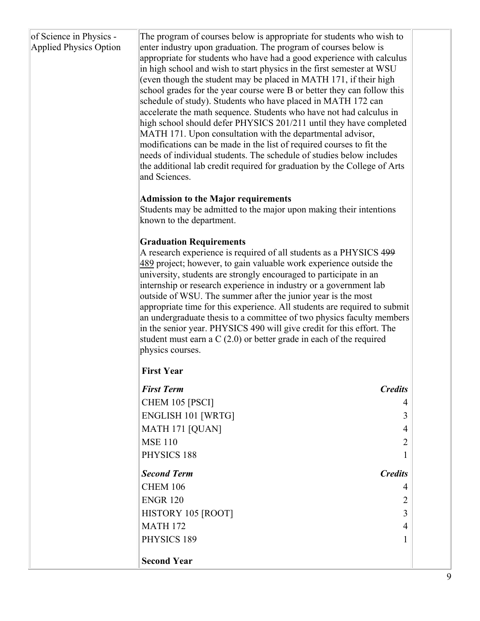| of Science in Physics -<br><b>Applied Physics Option</b> | The program of courses below is appropriate for students who wish to<br>enter industry upon graduation. The program of courses below is<br>appropriate for students who have had a good experience with calculus<br>in high school and wish to start physics in the first semester at WSU<br>(even though the student may be placed in MATH 171, if their high<br>school grades for the year course were B or better they can follow this<br>schedule of study). Students who have placed in MATH 172 can<br>accelerate the math sequence. Students who have not had calculus in<br>high school should defer PHYSICS 201/211 until they have completed<br>MATH 171. Upon consultation with the departmental advisor,<br>modifications can be made in the list of required courses to fit the<br>needs of individual students. The schedule of studies below includes<br>the additional lab credit required for graduation by the College of Arts<br>and Sciences.<br><b>Admission to the Major requirements</b><br>Students may be admitted to the major upon making their intentions<br>known to the department.<br><b>Graduation Requirements</b><br>A research experience is required of all students as a PHYSICS 499<br>489 project; however, to gain valuable work experience outside the<br>university, students are strongly encouraged to participate in an<br>internship or research experience in industry or a government lab<br>outside of WSU. The summer after the junior year is the most<br>appropriate time for this experience. All students are required to submit<br>an undergraduate thesis to a committee of two physics faculty members<br>in the senior year. PHYSICS 490 will give credit for this effort. The<br>student must earn a $C(2.0)$ or better grade in each of the required<br>physics courses.<br><b>First Year</b> |                |
|----------------------------------------------------------|-----------------------------------------------------------------------------------------------------------------------------------------------------------------------------------------------------------------------------------------------------------------------------------------------------------------------------------------------------------------------------------------------------------------------------------------------------------------------------------------------------------------------------------------------------------------------------------------------------------------------------------------------------------------------------------------------------------------------------------------------------------------------------------------------------------------------------------------------------------------------------------------------------------------------------------------------------------------------------------------------------------------------------------------------------------------------------------------------------------------------------------------------------------------------------------------------------------------------------------------------------------------------------------------------------------------------------------------------------------------------------------------------------------------------------------------------------------------------------------------------------------------------------------------------------------------------------------------------------------------------------------------------------------------------------------------------------------------------------------------------------------------------------------------------------------------------------------------------------------|----------------|
|                                                          | <b>First Term</b>                                                                                                                                                                                                                                                                                                                                                                                                                                                                                                                                                                                                                                                                                                                                                                                                                                                                                                                                                                                                                                                                                                                                                                                                                                                                                                                                                                                                                                                                                                                                                                                                                                                                                                                                                                                                                                         | <b>Credits</b> |
|                                                          | CHEM 105 [PSCI]                                                                                                                                                                                                                                                                                                                                                                                                                                                                                                                                                                                                                                                                                                                                                                                                                                                                                                                                                                                                                                                                                                                                                                                                                                                                                                                                                                                                                                                                                                                                                                                                                                                                                                                                                                                                                                           | 4              |
|                                                          | <b>ENGLISH 101 [WRTG]</b>                                                                                                                                                                                                                                                                                                                                                                                                                                                                                                                                                                                                                                                                                                                                                                                                                                                                                                                                                                                                                                                                                                                                                                                                                                                                                                                                                                                                                                                                                                                                                                                                                                                                                                                                                                                                                                 | 3              |
|                                                          | MATH 171 [QUAN]                                                                                                                                                                                                                                                                                                                                                                                                                                                                                                                                                                                                                                                                                                                                                                                                                                                                                                                                                                                                                                                                                                                                                                                                                                                                                                                                                                                                                                                                                                                                                                                                                                                                                                                                                                                                                                           | 4              |
|                                                          | <b>MSE 110</b>                                                                                                                                                                                                                                                                                                                                                                                                                                                                                                                                                                                                                                                                                                                                                                                                                                                                                                                                                                                                                                                                                                                                                                                                                                                                                                                                                                                                                                                                                                                                                                                                                                                                                                                                                                                                                                            | 2              |
|                                                          | PHYSICS 188                                                                                                                                                                                                                                                                                                                                                                                                                                                                                                                                                                                                                                                                                                                                                                                                                                                                                                                                                                                                                                                                                                                                                                                                                                                                                                                                                                                                                                                                                                                                                                                                                                                                                                                                                                                                                                               |                |
|                                                          | <b>Second Term</b>                                                                                                                                                                                                                                                                                                                                                                                                                                                                                                                                                                                                                                                                                                                                                                                                                                                                                                                                                                                                                                                                                                                                                                                                                                                                                                                                                                                                                                                                                                                                                                                                                                                                                                                                                                                                                                        | <b>Credits</b> |
|                                                          | <b>CHEM 106</b>                                                                                                                                                                                                                                                                                                                                                                                                                                                                                                                                                                                                                                                                                                                                                                                                                                                                                                                                                                                                                                                                                                                                                                                                                                                                                                                                                                                                                                                                                                                                                                                                                                                                                                                                                                                                                                           | 4              |
|                                                          | <b>ENGR 120</b>                                                                                                                                                                                                                                                                                                                                                                                                                                                                                                                                                                                                                                                                                                                                                                                                                                                                                                                                                                                                                                                                                                                                                                                                                                                                                                                                                                                                                                                                                                                                                                                                                                                                                                                                                                                                                                           | 2              |
|                                                          | HISTORY 105 [ROOT]                                                                                                                                                                                                                                                                                                                                                                                                                                                                                                                                                                                                                                                                                                                                                                                                                                                                                                                                                                                                                                                                                                                                                                                                                                                                                                                                                                                                                                                                                                                                                                                                                                                                                                                                                                                                                                        | 3              |
|                                                          | <b>MATH 172</b>                                                                                                                                                                                                                                                                                                                                                                                                                                                                                                                                                                                                                                                                                                                                                                                                                                                                                                                                                                                                                                                                                                                                                                                                                                                                                                                                                                                                                                                                                                                                                                                                                                                                                                                                                                                                                                           | 4              |
|                                                          | PHYSICS 189                                                                                                                                                                                                                                                                                                                                                                                                                                                                                                                                                                                                                                                                                                                                                                                                                                                                                                                                                                                                                                                                                                                                                                                                                                                                                                                                                                                                                                                                                                                                                                                                                                                                                                                                                                                                                                               |                |
|                                                          | <b>Second Year</b>                                                                                                                                                                                                                                                                                                                                                                                                                                                                                                                                                                                                                                                                                                                                                                                                                                                                                                                                                                                                                                                                                                                                                                                                                                                                                                                                                                                                                                                                                                                                                                                                                                                                                                                                                                                                                                        |                |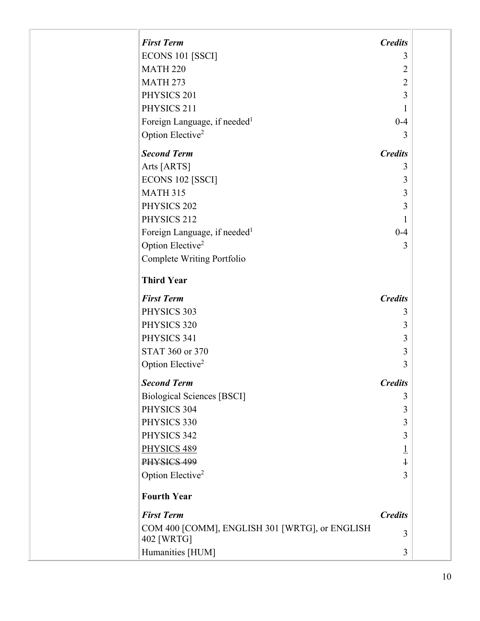| <b>First Term</b>                                            | <b>Credits</b> |  |
|--------------------------------------------------------------|----------------|--|
| ECONS 101 [SSCI]                                             | 3              |  |
| <b>MATH 220</b>                                              | 2              |  |
| <b>MATH 273</b>                                              | $\overline{2}$ |  |
| PHYSICS 201                                                  | 3              |  |
| PHYSICS 211                                                  | 1              |  |
| Foreign Language, if needed <sup>1</sup>                     | $0 - 4$        |  |
| Option Elective <sup>2</sup>                                 | 3              |  |
| <b>Second Term</b>                                           | <b>Credits</b> |  |
| Arts [ARTS]                                                  | 3              |  |
| ECONS 102 [SSCI]                                             | 3              |  |
| <b>MATH 315</b>                                              | 3              |  |
| PHYSICS 202                                                  | 3              |  |
| PHYSICS 212                                                  | 1              |  |
| Foreign Language, if needed <sup>1</sup>                     | $0 - 4$        |  |
| Option Elective <sup>2</sup>                                 | 3              |  |
| Complete Writing Portfolio                                   |                |  |
| <b>Third Year</b>                                            |                |  |
| <b>First Term</b>                                            | <b>Credits</b> |  |
| PHYSICS 303                                                  | 3              |  |
| PHYSICS 320                                                  | 3              |  |
| PHYSICS 341                                                  | 3              |  |
| STAT 360 or 370                                              | 3              |  |
| Option Elective <sup>2</sup>                                 | 3              |  |
| <b>Second Term</b>                                           | <b>Credits</b> |  |
| <b>Biological Sciences [BSCI]</b>                            | 3              |  |
| PHYSICS 304                                                  | 3              |  |
| PHYSICS 330                                                  | 3              |  |
| PHYSICS 342                                                  | 3              |  |
| PHYSICS 489                                                  | <u>1</u>       |  |
| PHYSICS 499                                                  | $\ddagger$     |  |
| Option Elective <sup>2</sup>                                 | 3              |  |
| <b>Fourth Year</b>                                           |                |  |
| <b>First Term</b>                                            | <b>Credits</b> |  |
| COM 400 [COMM], ENGLISH 301 [WRTG], or ENGLISH<br>402 [WRTG] | 3              |  |
| Humanities [HUM]                                             | 3              |  |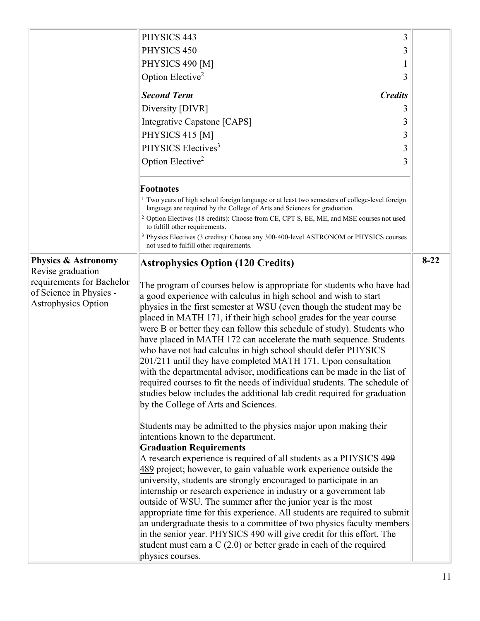|                                                                                                                                           | PHYSICS 443<br>3<br>PHYSICS 450<br>3<br>PHYSICS 490 [M]<br>Option Elective <sup>2</sup><br>3<br><b>Second Term</b><br><b>Credits</b><br>Diversity [DIVR]<br>3<br>Integrative Capstone [CAPS]<br>3<br>PHYSICS 415 [M]<br>3<br>PHYSICS Electives <sup>3</sup><br>3<br>Option Elective <sup>2</sup><br>3                                                                                                                                                                                                                                                                                                                                                                                                                                                                                                                                                                                                                                                                                                                                                                                                                                                                                                                                                                                                                                                                                                                                                                                                                                                                                                                                                                                                                           |          |
|-------------------------------------------------------------------------------------------------------------------------------------------|---------------------------------------------------------------------------------------------------------------------------------------------------------------------------------------------------------------------------------------------------------------------------------------------------------------------------------------------------------------------------------------------------------------------------------------------------------------------------------------------------------------------------------------------------------------------------------------------------------------------------------------------------------------------------------------------------------------------------------------------------------------------------------------------------------------------------------------------------------------------------------------------------------------------------------------------------------------------------------------------------------------------------------------------------------------------------------------------------------------------------------------------------------------------------------------------------------------------------------------------------------------------------------------------------------------------------------------------------------------------------------------------------------------------------------------------------------------------------------------------------------------------------------------------------------------------------------------------------------------------------------------------------------------------------------------------------------------------------------|----------|
|                                                                                                                                           | <b>Footnotes</b><br><sup>1</sup> Two years of high school foreign language or at least two semesters of college-level foreign<br>language are required by the College of Arts and Sciences for graduation.<br><sup>2</sup> Option Electives (18 credits): Choose from CE, CPT S, EE, ME, and MSE courses not used<br>to fulfill other requirements.<br><sup>3</sup> Physics Electives (3 credits): Choose any 300-400-level ASTRONOM or PHYSICS courses<br>not used to fulfill other requirements.                                                                                                                                                                                                                                                                                                                                                                                                                                                                                                                                                                                                                                                                                                                                                                                                                                                                                                                                                                                                                                                                                                                                                                                                                              |          |
| <b>Physics &amp; Astronomy</b><br>Revise graduation<br>requirements for Bachelor<br>of Science in Physics -<br><b>Astrophysics Option</b> | <b>Astrophysics Option (120 Credits)</b><br>The program of courses below is appropriate for students who have had<br>a good experience with calculus in high school and wish to start<br>physics in the first semester at WSU (even though the student may be<br>placed in MATH 171, if their high school grades for the year course<br>were B or better they can follow this schedule of study). Students who<br>have placed in MATH 172 can accelerate the math sequence. Students<br>who have not had calculus in high school should defer PHYSICS<br>201/211 until they have completed MATH 171. Upon consultation<br>with the departmental advisor, modifications can be made in the list of<br>required courses to fit the needs of individual students. The schedule of<br>studies below includes the additional lab credit required for graduation<br>by the College of Arts and Sciences.<br>Students may be admitted to the physics major upon making their<br>intentions known to the department.<br><b>Graduation Requirements</b><br>A research experience is required of all students as a PHYSICS 499<br>489 project; however, to gain valuable work experience outside the<br>university, students are strongly encouraged to participate in an<br>internship or research experience in industry or a government lab<br>outside of WSU. The summer after the junior year is the most<br>appropriate time for this experience. All students are required to submit<br>an undergraduate thesis to a committee of two physics faculty members<br>in the senior year. PHYSICS 490 will give credit for this effort. The<br>student must earn a $C(2.0)$ or better grade in each of the required<br>physics courses. | $8 - 22$ |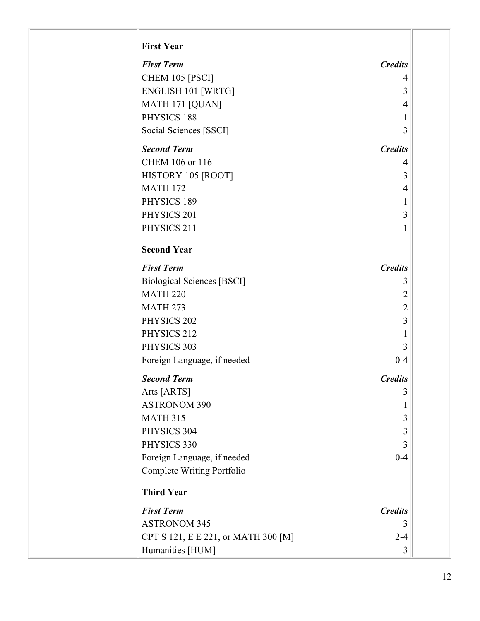| <b>First Term</b>                   | <b>Credits</b> |
|-------------------------------------|----------------|
| CHEM 105 [PSCI]                     | 4              |
| <b>ENGLISH 101 [WRTG]</b>           | 3              |
| MATH 171 [QUAN]                     | 4              |
| PHYSICS 188                         | $\mathbf{1}$   |
| Social Sciences [SSCI]              | 3              |
| <b>Second Term</b>                  | <b>Credits</b> |
| CHEM 106 or 116                     | 4              |
| HISTORY 105 [ROOT]                  | 3              |
| <b>MATH 172</b>                     | 4              |
| PHYSICS 189                         | 1              |
| PHYSICS 201                         | 3              |
| PHYSICS 211                         | 1              |
| <b>Second Year</b>                  |                |
| <b>First Term</b>                   | <b>Credits</b> |
| <b>Biological Sciences [BSCI]</b>   | 3              |
| <b>MATH 220</b>                     | $\overline{2}$ |
| <b>MATH 273</b>                     | $\overline{2}$ |
| PHYSICS 202                         | 3              |
| PHYSICS 212                         | 1              |
| PHYSICS 303                         | 3              |
| Foreign Language, if needed         | $0 - 4$        |
| <b>Second Term</b>                  | <b>Credits</b> |
| Arts [ARTS]                         | 3              |
| <b>ASTRONOM 390</b>                 | 1              |
| <b>MATH 315</b>                     | 3              |
| PHYSICS 304                         | 3              |
| PHYSICS 330                         | 3              |
| Foreign Language, if needed         | $0 - 4$        |
| Complete Writing Portfolio          |                |
| <b>Third Year</b>                   |                |
| <b>First Term</b>                   | <b>Credits</b> |
| <b>ASTRONOM 345</b>                 | 3              |
| CPT S 121, E E 221, or MATH 300 [M] | $2 - 4$        |
| Humanities [HUM]                    | 3              |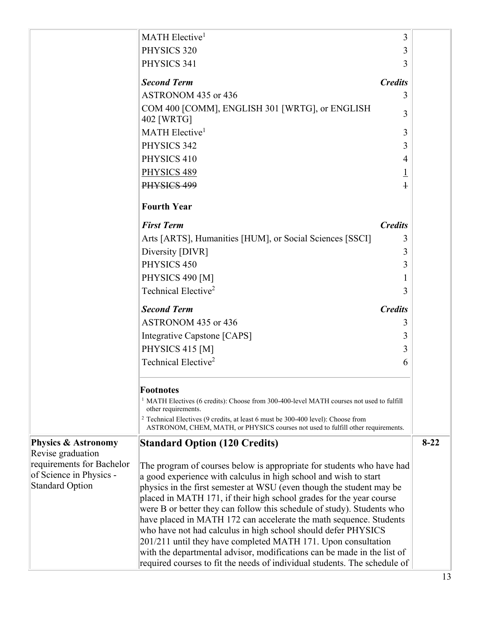|                                                     | MATH Elective <sup>1</sup>                                                                                                                                                      | 3              |          |
|-----------------------------------------------------|---------------------------------------------------------------------------------------------------------------------------------------------------------------------------------|----------------|----------|
|                                                     | PHYSICS 320                                                                                                                                                                     | 3              |          |
|                                                     | PHYSICS 341                                                                                                                                                                     | 3              |          |
|                                                     | <b>Second Term</b>                                                                                                                                                              | <b>Credits</b> |          |
|                                                     | ASTRONOM 435 or 436                                                                                                                                                             | 3              |          |
|                                                     | COM 400 [COMM], ENGLISH 301 [WRTG], or ENGLISH<br>402 [WRTG]                                                                                                                    | 3              |          |
|                                                     | MATH Elective <sup>1</sup>                                                                                                                                                      | 3              |          |
|                                                     | PHYSICS 342                                                                                                                                                                     | 3              |          |
|                                                     | PHYSICS 410                                                                                                                                                                     | 4              |          |
|                                                     | PHYSICS 489                                                                                                                                                                     | $\overline{1}$ |          |
|                                                     | PHYSICS 499                                                                                                                                                                     | $\ddagger$     |          |
|                                                     | <b>Fourth Year</b>                                                                                                                                                              |                |          |
|                                                     | <b>First Term</b>                                                                                                                                                               | <b>Credits</b> |          |
|                                                     | Arts [ARTS], Humanities [HUM], or Social Sciences [SSCI]                                                                                                                        | 3              |          |
|                                                     | Diversity [DIVR]                                                                                                                                                                | 3              |          |
|                                                     | PHYSICS 450                                                                                                                                                                     | 3              |          |
|                                                     | PHYSICS 490 [M]                                                                                                                                                                 |                |          |
|                                                     | Technical Elective <sup>2</sup>                                                                                                                                                 | 3              |          |
|                                                     | <b>Second Term</b>                                                                                                                                                              | <b>Credits</b> |          |
|                                                     | ASTRONOM 435 or 436                                                                                                                                                             | 3              |          |
|                                                     | Integrative Capstone [CAPS]                                                                                                                                                     | 3              |          |
|                                                     | PHYSICS 415 [M]                                                                                                                                                                 | 3              |          |
|                                                     | Technical Elective <sup>2</sup>                                                                                                                                                 | 6              |          |
|                                                     | <b>Footnotes</b>                                                                                                                                                                |                |          |
|                                                     | <sup>1</sup> MATH Electives (6 credits): Choose from 300-400-level MATH courses not used to fulfill<br>other requirements.                                                      |                |          |
|                                                     | <sup>2</sup> Technical Electives (9 credits, at least 6 must be 300-400 level): Choose from<br>ASTRONOM, CHEM, MATH, or PHYSICS courses not used to fulfill other requirements. |                |          |
| <b>Physics &amp; Astronomy</b><br>Revise graduation | <b>Standard Option (120 Credits)</b>                                                                                                                                            |                | $8 - 22$ |
| requirements for Bachelor                           | The program of courses below is appropriate for students who have had                                                                                                           |                |          |
| of Science in Physics -                             | a good experience with calculus in high school and wish to start                                                                                                                |                |          |
| <b>Standard Option</b>                              | physics in the first semester at WSU (even though the student may be                                                                                                            |                |          |
|                                                     | placed in MATH 171, if their high school grades for the year course                                                                                                             |                |          |
|                                                     | were B or better they can follow this schedule of study). Students who<br>have placed in MATH 172 can accelerate the math sequence. Students                                    |                |          |
|                                                     | who have not had calculus in high school should defer PHYSICS                                                                                                                   |                |          |
|                                                     | 201/211 until they have completed MATH 171. Upon consultation                                                                                                                   |                |          |
|                                                     | with the departmental advisor, modifications can be made in the list of<br>required courses to fit the needs of individual students. The schedule of                            |                |          |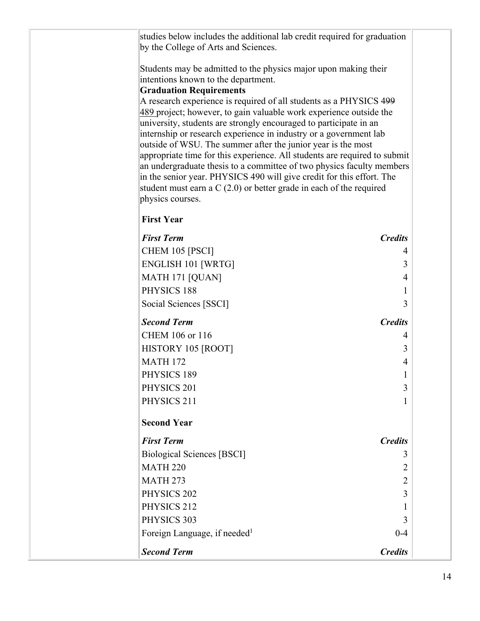| studies below includes the additional lab credit required for graduation<br>by the College of Arts and Sciences.                              |                |
|-----------------------------------------------------------------------------------------------------------------------------------------------|----------------|
| Students may be admitted to the physics major upon making their<br>intentions known to the department.                                        |                |
| <b>Graduation Requirements</b>                                                                                                                |                |
| A research experience is required of all students as a PHYSICS 499<br>489 project; however, to gain valuable work experience outside the      |                |
| university, students are strongly encouraged to participate in an<br>internship or research experience in industry or a government lab        |                |
| outside of WSU. The summer after the junior year is the most                                                                                  |                |
| appropriate time for this experience. All students are required to submit                                                                     |                |
| an undergraduate thesis to a committee of two physics faculty members                                                                         |                |
| in the senior year. PHYSICS 490 will give credit for this effort. The<br>student must earn a $C(2.0)$ or better grade in each of the required |                |
| physics courses.                                                                                                                              |                |
| <b>First Year</b>                                                                                                                             |                |
| <b>First Term</b>                                                                                                                             | <b>Credits</b> |
| CHEM 105 [PSCI]                                                                                                                               | 4              |
| <b>ENGLISH 101 [WRTG]</b>                                                                                                                     | 3              |
| MATH 171 [QUAN]                                                                                                                               | 4              |
| PHYSICS 188                                                                                                                                   | 1              |
| Social Sciences [SSCI]                                                                                                                        | 3              |
| <b>Second Term</b>                                                                                                                            | <b>Credits</b> |
| CHEM 106 or 116                                                                                                                               | 4              |
| HISTORY 105 [ROOT]                                                                                                                            | 3              |
| <b>MATH 172</b>                                                                                                                               | 4              |
| PHYSICS 189                                                                                                                                   |                |
| PHYSICS 201                                                                                                                                   | 3              |
| PHYSICS 211                                                                                                                                   | 1              |
| <b>Second Year</b>                                                                                                                            |                |
| <b>First Term</b>                                                                                                                             | <b>Credits</b> |
| <b>Biological Sciences [BSCI]</b>                                                                                                             | 3              |
| <b>MATH 220</b>                                                                                                                               | 2              |
| <b>MATH 273</b>                                                                                                                               | $\overline{2}$ |
| PHYSICS 202                                                                                                                                   | 3              |
| PHYSICS 212                                                                                                                                   | 1              |
| PHYSICS 303                                                                                                                                   | 3              |
| Foreign Language, if needed <sup>1</sup>                                                                                                      | $0 - 4$        |
| <b>Second Term</b>                                                                                                                            | <b>Credits</b> |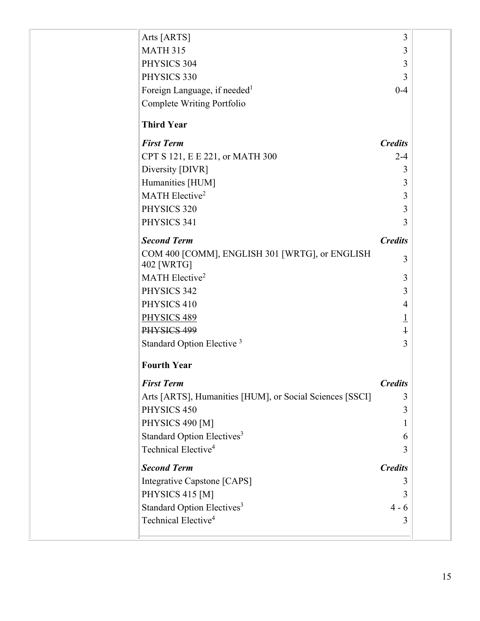| Arts [ARTS]                                                  | 3              |  |
|--------------------------------------------------------------|----------------|--|
| <b>MATH 315</b>                                              | 3              |  |
| PHYSICS 304                                                  | 3              |  |
| PHYSICS 330                                                  | 3              |  |
| Foreign Language, if needed <sup>1</sup>                     | $0 - 4$        |  |
| Complete Writing Portfolio                                   |                |  |
| <b>Third Year</b>                                            |                |  |
| <b>First Term</b>                                            | <b>Credits</b> |  |
| CPT S 121, E E 221, or MATH 300                              | $2 - 4$        |  |
| Diversity [DIVR]                                             | 3              |  |
| Humanities [HUM]                                             | 3              |  |
| MATH Elective <sup>2</sup>                                   | 3              |  |
| PHYSICS 320                                                  | 3              |  |
| PHYSICS 341                                                  | 3              |  |
| <b>Second Term</b>                                           | <b>Credits</b> |  |
| COM 400 [COMM], ENGLISH 301 [WRTG], or ENGLISH<br>402 [WRTG] | 3              |  |
| MATH Elective <sup>2</sup>                                   | 3              |  |
| PHYSICS 342                                                  | 3              |  |
| PHYSICS 410                                                  | 4              |  |
| PHYSICS 489                                                  | $\overline{1}$ |  |
| PHYSICS 499                                                  | $\ddagger$     |  |
| Standard Option Elective <sup>3</sup>                        | 3              |  |
| <b>Fourth Year</b>                                           |                |  |
| <b>First Term</b>                                            | <b>Credits</b> |  |
| Arts [ARTS], Humanities [HUM], or Social Sciences [SSCI]     | 3              |  |
| PHYSICS 450                                                  | 3              |  |
| PHYSICS 490 [M]                                              | 1              |  |
| Standard Option Electives <sup>3</sup>                       | 6              |  |
| Technical Elective <sup>4</sup>                              | 3              |  |
| <b>Second Term</b>                                           | <b>Credits</b> |  |
| Integrative Capstone [CAPS]                                  | 3              |  |
| PHYSICS 415 [M]                                              | 3              |  |
| Standard Option Electives <sup>3</sup>                       | $4 - 6$        |  |
| Technical Elective <sup>4</sup>                              | 3              |  |
|                                                              |                |  |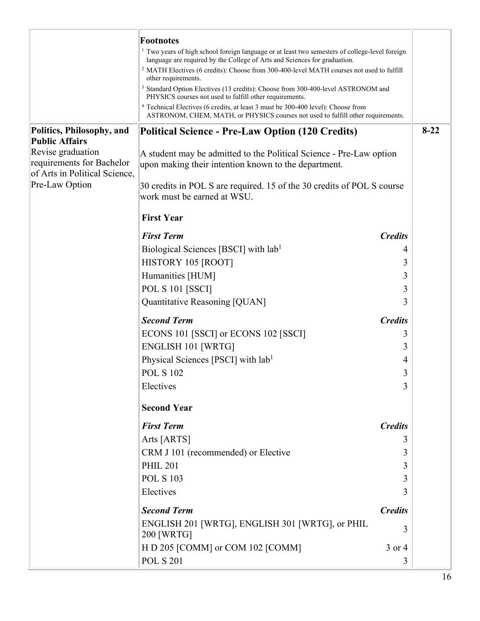|                                                                                 | <b>Footnotes</b>                                                                                                                                                                       |                |        |
|---------------------------------------------------------------------------------|----------------------------------------------------------------------------------------------------------------------------------------------------------------------------------------|----------------|--------|
|                                                                                 | <sup>1</sup> Two years of high school foreign language or at least two semesters of college-level foreign<br>language are required by the College of Arts and Sciences for graduation. |                |        |
|                                                                                 | <sup>2</sup> MATH Electives (6 credits): Choose from 300-400-level MATH courses not used to fulfill<br>other requirements.                                                             |                |        |
|                                                                                 | <sup>3</sup> Standard Option Electives (13 credits): Choose from 300-400-level ASTRONOM and<br>PHYSICS courses not used to fulfill other requirements.                                 |                |        |
|                                                                                 | <sup>4</sup> Technical Electives (6 credits, at least 3 must be 300-400 level): Choose from<br>ASTRONOM, CHEM, MATH, or PHYSICS courses not used to fulfill other requirements.        |                |        |
| Politics, Philosophy, and<br><b>Public Affairs</b>                              | Political Science - Pre-Law Option (120 Credits)                                                                                                                                       |                | $8-22$ |
| Revise graduation<br>requirements for Bachelor<br>of Arts in Political Science, | A student may be admitted to the Political Science - Pre-Law option<br>upon making their intention known to the department.                                                            |                |        |
| Pre-Law Option                                                                  | 30 credits in POL S are required. 15 of the 30 credits of POL S course<br>work must be earned at WSU.                                                                                  |                |        |
|                                                                                 | <b>First Year</b>                                                                                                                                                                      |                |        |
|                                                                                 | <b>First Term</b>                                                                                                                                                                      | <b>Credits</b> |        |
|                                                                                 | Biological Sciences [BSCI] with lab <sup>1</sup>                                                                                                                                       | 4              |        |
|                                                                                 | HISTORY 105 [ROOT]                                                                                                                                                                     | 3              |        |
|                                                                                 | Humanities [HUM]                                                                                                                                                                       | 3              |        |
|                                                                                 | <b>POL S 101 [SSCI]</b>                                                                                                                                                                | 3              |        |
|                                                                                 | Quantitative Reasoning [QUAN]                                                                                                                                                          | 3              |        |
|                                                                                 | <b>Second Term</b>                                                                                                                                                                     | <b>Credits</b> |        |
|                                                                                 | ECONS 101 [SSCI] or ECONS 102 [SSCI]                                                                                                                                                   | 3              |        |
|                                                                                 | <b>ENGLISH 101 [WRTG]</b>                                                                                                                                                              | 3              |        |
|                                                                                 | Physical Sciences [PSCI] with lab <sup>1</sup>                                                                                                                                         | 4              |        |
|                                                                                 | <b>POL S 102</b>                                                                                                                                                                       | 3              |        |
|                                                                                 | Electives                                                                                                                                                                              | 3              |        |
|                                                                                 | <b>Second Year</b>                                                                                                                                                                     |                |        |
|                                                                                 | <b>First Term</b>                                                                                                                                                                      | <b>Credits</b> |        |
|                                                                                 | Arts [ARTS]                                                                                                                                                                            | 3              |        |
|                                                                                 | CRM J 101 (recommended) or Elective                                                                                                                                                    | 3              |        |
|                                                                                 | <b>PHIL 201</b>                                                                                                                                                                        | 3              |        |
|                                                                                 | <b>POL S 103</b>                                                                                                                                                                       | 3              |        |
|                                                                                 | Electives                                                                                                                                                                              | 3              |        |
|                                                                                 | <b>Second Term</b>                                                                                                                                                                     | <b>Credits</b> |        |
|                                                                                 | ENGLISH 201 [WRTG], ENGLISH 301 [WRTG], or PHIL<br>200 [WRTG]                                                                                                                          | 3              |        |
|                                                                                 | H D 205 [COMM] or COM 102 [COMM]                                                                                                                                                       | 3 or 4         |        |
|                                                                                 | <b>POL S 201</b>                                                                                                                                                                       | 3              |        |